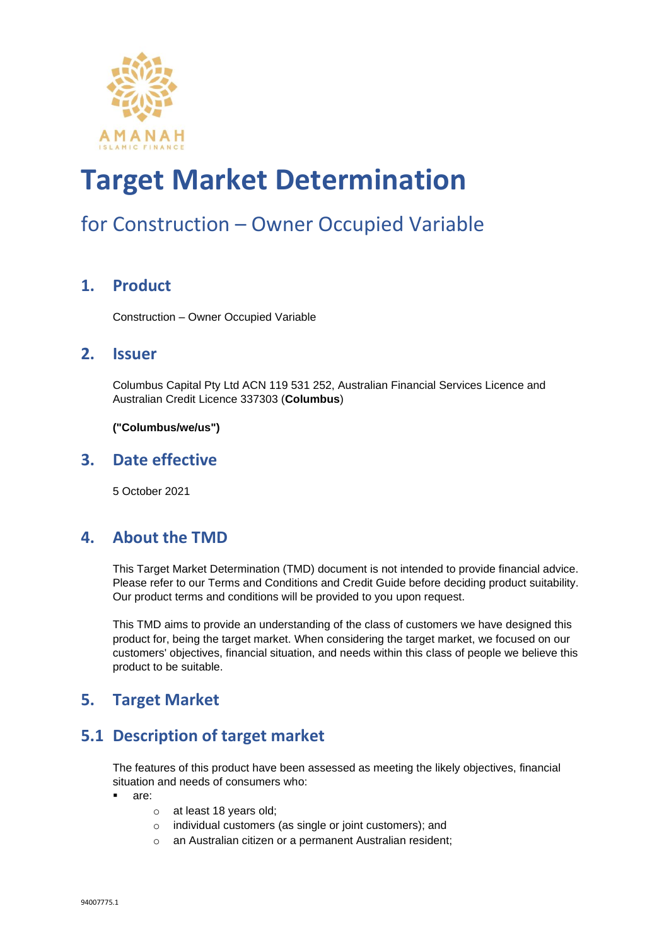

### for Construction – Owner Occupied Variable

#### **1. Product**

Construction – Owner Occupied Variable

#### **2. Issuer**

Columbus Capital Pty Ltd ACN 119 531 252, Australian Financial Services Licence and Australian Credit Licence 337303 (**Columbus**)

**("Columbus/we/us")**

#### **3. Date effective**

5 October 2021

#### **4. About the TMD**

This Target Market Determination (TMD) document is not intended to provide financial advice. Please refer to our Terms and Conditions and Credit Guide before deciding product suitability. Our product terms and conditions will be provided to you upon request.

This TMD aims to provide an understanding of the class of customers we have designed this product for, being the target market. When considering the target market, we focused on our customers' objectives, financial situation, and needs within this class of people we believe this product to be suitable.

#### **5. Target Market**

#### **5.1 Description of target market**

The features of this product have been assessed as meeting the likely objectives, financial situation and needs of consumers who:

- are:
	- o at least 18 years old;
	- o individual customers (as single or joint customers); and
	- o an Australian citizen or a permanent Australian resident;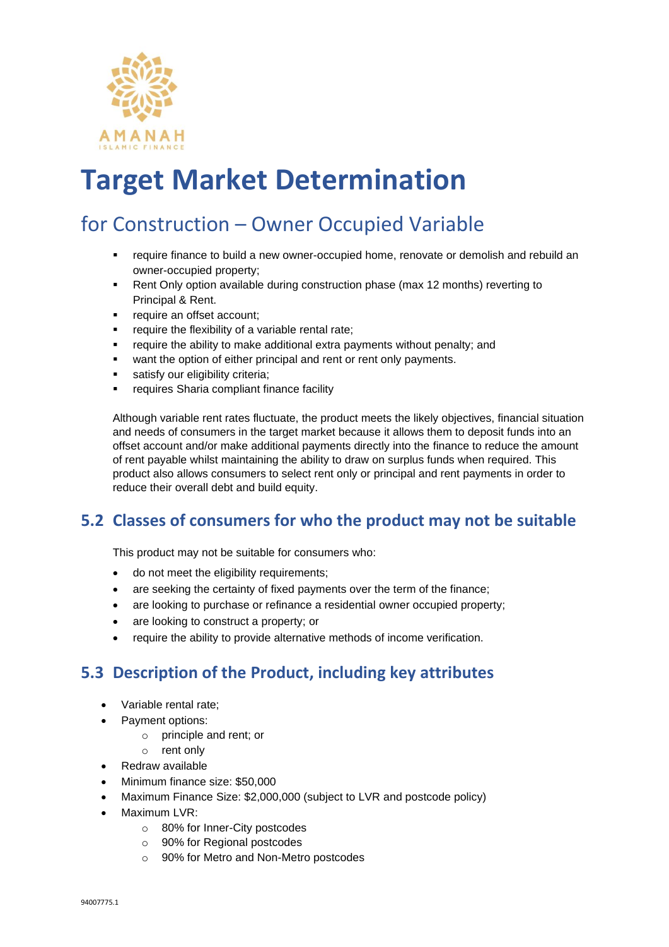

### for Construction – Owner Occupied Variable

- **•** require finance to build a new owner-occupied home, renovate or demolish and rebuild an owner-occupied property;
- **•** Rent Only option available during construction phase (max 12 months) reverting to Principal & Rent.
- require an offset account;
- require the flexibility of a variable rental rate;
- require the ability to make additional extra payments without penalty; and
- want the option of either principal and rent or rent only payments.
- satisfy our eligibility criteria;
- requires Sharia compliant finance facility

Although variable rent rates fluctuate, the product meets the likely objectives, financial situation and needs of consumers in the target market because it allows them to deposit funds into an offset account and/or make additional payments directly into the finance to reduce the amount of rent payable whilst maintaining the ability to draw on surplus funds when required. This product also allows consumers to select rent only or principal and rent payments in order to reduce their overall debt and build equity.

#### **5.2 Classes of consumers for who the product may not be suitable**

This product may not be suitable for consumers who:

- do not meet the eligibility requirements;
- are seeking the certainty of fixed payments over the term of the finance;
- are looking to purchase or refinance a residential owner occupied property;
- are looking to construct a property; or
- require the ability to provide alternative methods of income verification.

#### **5.3 Description of the Product, including key attributes**

- Variable rental rate;
- Payment options:
	- o principle and rent; or
	- o rent only
- Redraw available
- Minimum finance size: \$50,000
- Maximum Finance Size: \$2,000,000 (subject to LVR and postcode policy)
- Maximum LVR:
	- o 80% for Inner-City postcodes
	- o 90% for Regional postcodes
	- o 90% for Metro and Non-Metro postcodes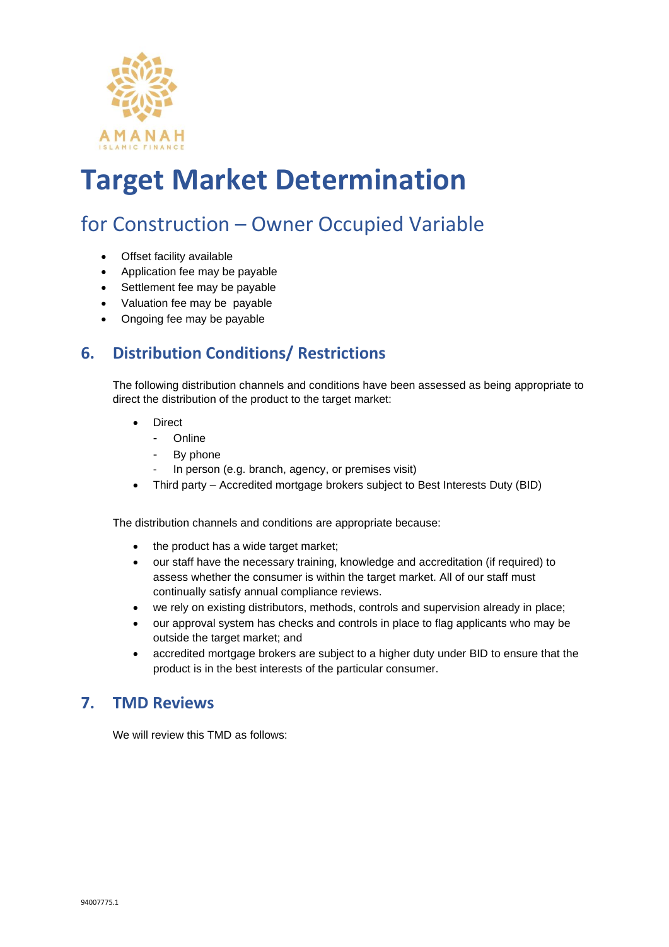

### for Construction – Owner Occupied Variable

- Offset facility available
- Application fee may be payable
- Settlement fee may be payable
- Valuation fee may be payable
- Ongoing fee may be payable

#### **6. Distribution Conditions/ Restrictions**

The following distribution channels and conditions have been assessed as being appropriate to direct the distribution of the product to the target market:

- **Direct** 
	- Online
	- By phone
	- In person (e.g. branch, agency, or premises visit)
- Third party Accredited mortgage brokers subject to Best Interests Duty (BID)

The distribution channels and conditions are appropriate because:

- the product has a wide target market;
- our staff have the necessary training, knowledge and accreditation (if required) to assess whether the consumer is within the target market. All of our staff must continually satisfy annual compliance reviews.
- we rely on existing distributors, methods, controls and supervision already in place;
- our approval system has checks and controls in place to flag applicants who may be outside the target market; and
- accredited mortgage brokers are subject to a higher duty under BID to ensure that the product is in the best interests of the particular consumer.

#### **7. TMD Reviews**

We will review this TMD as follows: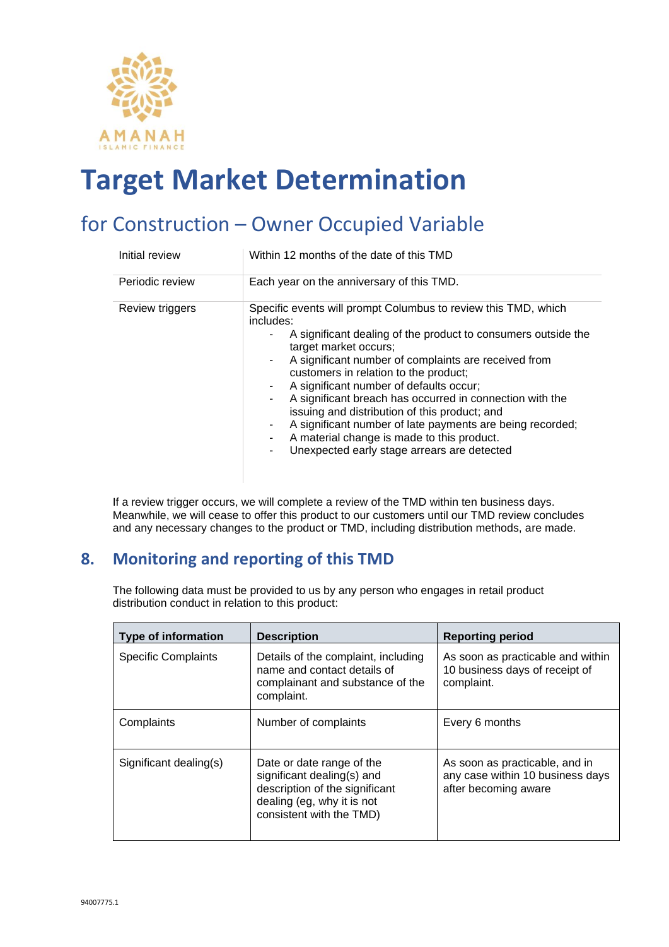

### for Construction – Owner Occupied Variable

| Initial review  | Within 12 months of the date of this TMD                                                                                                                                                                                                                                                                                                                                                                                                                                                                                                                                                                   |
|-----------------|------------------------------------------------------------------------------------------------------------------------------------------------------------------------------------------------------------------------------------------------------------------------------------------------------------------------------------------------------------------------------------------------------------------------------------------------------------------------------------------------------------------------------------------------------------------------------------------------------------|
| Periodic review | Each year on the anniversary of this TMD.                                                                                                                                                                                                                                                                                                                                                                                                                                                                                                                                                                  |
| Review triggers | Specific events will prompt Columbus to review this TMD, which<br>includes:<br>A significant dealing of the product to consumers outside the<br>target market occurs;<br>A significant number of complaints are received from<br>٠.<br>customers in relation to the product;<br>A significant number of defaults occur;<br>A significant breach has occurred in connection with the<br>۰.<br>issuing and distribution of this product; and<br>A significant number of late payments are being recorded;<br>A material change is made to this product.<br>Unexpected early stage arrears are detected<br>٠. |

If a review trigger occurs, we will complete a review of the TMD within ten business days. Meanwhile, we will cease to offer this product to our customers until our TMD review concludes and any necessary changes to the product or TMD, including distribution methods, are made.

#### **8. Monitoring and reporting of this TMD**

The following data must be provided to us by any person who engages in retail product distribution conduct in relation to this product:

| <b>Type of information</b> | <b>Description</b>                                                                                                                                  | <b>Reporting period</b>                                                                    |
|----------------------------|-----------------------------------------------------------------------------------------------------------------------------------------------------|--------------------------------------------------------------------------------------------|
| <b>Specific Complaints</b> | Details of the complaint, including<br>name and contact details of<br>complainant and substance of the<br>complaint.                                | As soon as practicable and within<br>10 business days of receipt of<br>complaint.          |
| Complaints                 | Number of complaints                                                                                                                                | Every 6 months                                                                             |
| Significant dealing(s)     | Date or date range of the<br>significant dealing(s) and<br>description of the significant<br>dealing (eg, why it is not<br>consistent with the TMD) | As soon as practicable, and in<br>any case within 10 business days<br>after becoming aware |